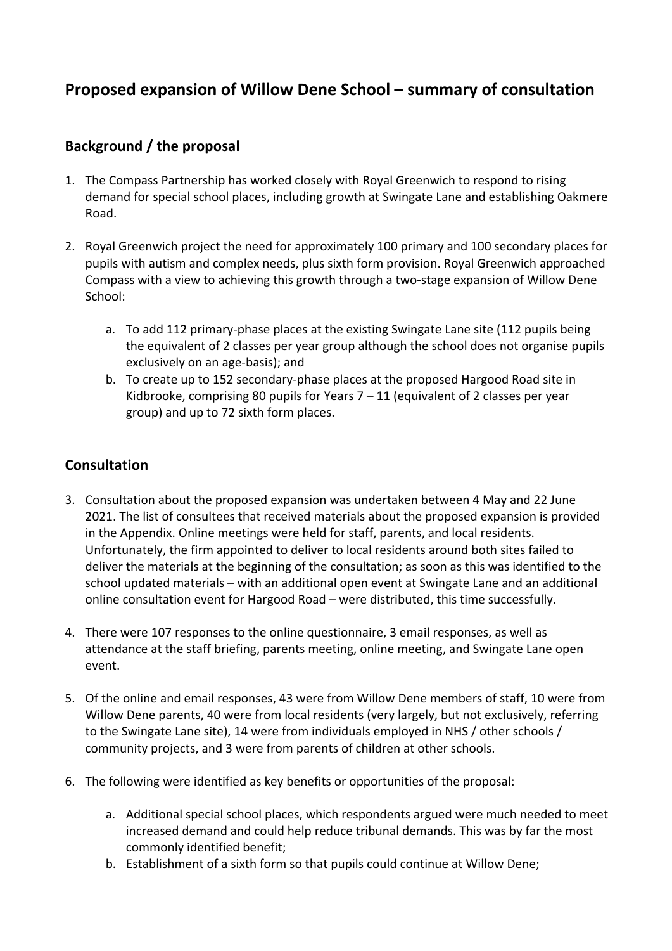## **Proposed expansion of Willow Dene School – summary of consultation**

### **Background / the proposal**

- 1. The Compass Partnership has worked closely with Royal Greenwich to respond to rising demand for special school places, including growth at Swingate Lane and establishing Oakmere Road.
- 2. Royal Greenwich project the need for approximately 100 primary and 100 secondary places for pupils with autism and complex needs, plus sixth form provision. Royal Greenwich approached Compass with a view to achieving this growth through a two-stage expansion of Willow Dene School:
	- a. To add 112 primary-phase places at the existing Swingate Lane site (112 pupils being the equivalent of 2 classes per year group although the school does not organise pupils exclusively on an age-basis); and
	- b. To create up to 152 secondary-phase places at the proposed Hargood Road site in Kidbrooke, comprising 80 pupils for Years  $7 - 11$  (equivalent of 2 classes per year group) and up to 72 sixth form places.

#### **Consultation**

- 3. Consultation about the proposed expansion was undertaken between 4 May and 22 June 2021. The list of consultees that received materials about the proposed expansion is provided in the Appendix. Online meetings were held for staff, parents, and local residents. Unfortunately, the firm appointed to deliver to local residents around both sites failed to deliver the materials at the beginning of the consultation; as soon as this was identified to the school updated materials – with an additional open event at Swingate Lane and an additional online consultation event for Hargood Road – were distributed, this time successfully.
- 4. There were 107 responses to the online questionnaire, 3 email responses, as well as attendance at the staff briefing, parents meeting, online meeting, and Swingate Lane open event.
- 5. Of the online and email responses, 43 were from Willow Dene members of staff, 10 were from Willow Dene parents, 40 were from local residents (very largely, but not exclusively, referring to the Swingate Lane site), 14 were from individuals employed in NHS / other schools / community projects, and 3 were from parents of children at other schools.
- 6. The following were identified as key benefits or opportunities of the proposal:
	- a. Additional special school places, which respondents argued were much needed to meet increased demand and could help reduce tribunal demands. This was by far the most commonly identified benefit;
	- b. Establishment of a sixth form so that pupils could continue at Willow Dene;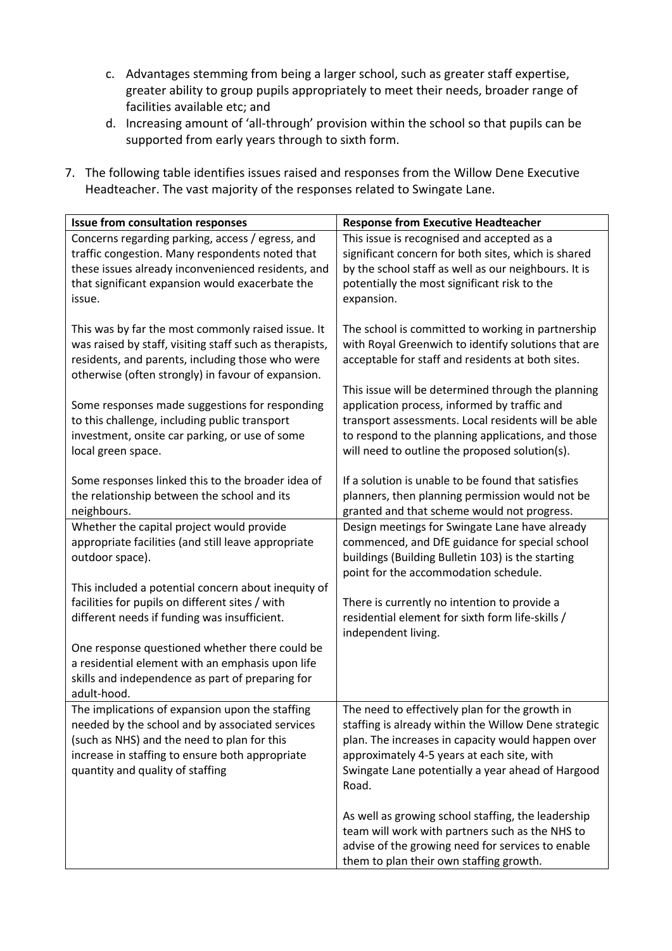- c. Advantages stemming from being a larger school, such as greater staff expertise, greater ability to group pupils appropriately to meet their needs, broader range of facilities available etc; and
- d. Increasing amount of 'all-through' provision within the school so that pupils can be supported from early years through to sixth form.
- 7. The following table identifies issues raised and responses from the Willow Dene Executive Headteacher. The vast majority of the responses related to Swingate Lane.

| <b>Issue from consultation responses</b>                                                                                                                                                                                                 | <b>Response from Executive Headteacher</b>                                                                                                                                                                                                                              |
|------------------------------------------------------------------------------------------------------------------------------------------------------------------------------------------------------------------------------------------|-------------------------------------------------------------------------------------------------------------------------------------------------------------------------------------------------------------------------------------------------------------------------|
| Concerns regarding parking, access / egress, and                                                                                                                                                                                         | This issue is recognised and accepted as a                                                                                                                                                                                                                              |
| traffic congestion. Many respondents noted that                                                                                                                                                                                          | significant concern for both sites, which is shared                                                                                                                                                                                                                     |
| these issues already inconvenienced residents, and                                                                                                                                                                                       | by the school staff as well as our neighbours. It is                                                                                                                                                                                                                    |
| that significant expansion would exacerbate the                                                                                                                                                                                          | potentially the most significant risk to the                                                                                                                                                                                                                            |
| issue.                                                                                                                                                                                                                                   | expansion.                                                                                                                                                                                                                                                              |
| This was by far the most commonly raised issue. It                                                                                                                                                                                       | The school is committed to working in partnership                                                                                                                                                                                                                       |
| was raised by staff, visiting staff such as therapists,                                                                                                                                                                                  | with Royal Greenwich to identify solutions that are                                                                                                                                                                                                                     |
| residents, and parents, including those who were                                                                                                                                                                                         | acceptable for staff and residents at both sites.                                                                                                                                                                                                                       |
| otherwise (often strongly) in favour of expansion.                                                                                                                                                                                       | This issue will be determined through the planning                                                                                                                                                                                                                      |
| Some responses made suggestions for responding                                                                                                                                                                                           | application process, informed by traffic and                                                                                                                                                                                                                            |
| to this challenge, including public transport                                                                                                                                                                                            | transport assessments. Local residents will be able                                                                                                                                                                                                                     |
| investment, onsite car parking, or use of some                                                                                                                                                                                           | to respond to the planning applications, and those                                                                                                                                                                                                                      |
| local green space.                                                                                                                                                                                                                       | will need to outline the proposed solution(s).                                                                                                                                                                                                                          |
| Some responses linked this to the broader idea of                                                                                                                                                                                        | If a solution is unable to be found that satisfies                                                                                                                                                                                                                      |
| the relationship between the school and its                                                                                                                                                                                              | planners, then planning permission would not be                                                                                                                                                                                                                         |
| neighbours.                                                                                                                                                                                                                              | granted and that scheme would not progress.                                                                                                                                                                                                                             |
| Whether the capital project would provide<br>appropriate facilities (and still leave appropriate<br>outdoor space).                                                                                                                      | Design meetings for Swingate Lane have already<br>commenced, and DfE guidance for special school<br>buildings (Building Bulletin 103) is the starting<br>point for the accommodation schedule.                                                                          |
| This included a potential concern about inequity of                                                                                                                                                                                      | There is currently no intention to provide a                                                                                                                                                                                                                            |
| facilities for pupils on different sites / with                                                                                                                                                                                          | residential element for sixth form life-skills /                                                                                                                                                                                                                        |
| different needs if funding was insufficient.                                                                                                                                                                                             | independent living.                                                                                                                                                                                                                                                     |
| One response questioned whether there could be<br>a residential element with an emphasis upon life<br>skills and independence as part of preparing for<br>adult-hood.                                                                    |                                                                                                                                                                                                                                                                         |
| The implications of expansion upon the staffing<br>needed by the school and by associated services<br>(such as NHS) and the need to plan for this<br>increase in staffing to ensure both appropriate<br>quantity and quality of staffing | The need to effectively plan for the growth in<br>staffing is already within the Willow Dene strategic<br>plan. The increases in capacity would happen over<br>approximately 4-5 years at each site, with<br>Swingate Lane potentially a year ahead of Hargood<br>Road. |
|                                                                                                                                                                                                                                          | As well as growing school staffing, the leadership<br>team will work with partners such as the NHS to<br>advise of the growing need for services to enable<br>them to plan their own staffing growth.                                                                   |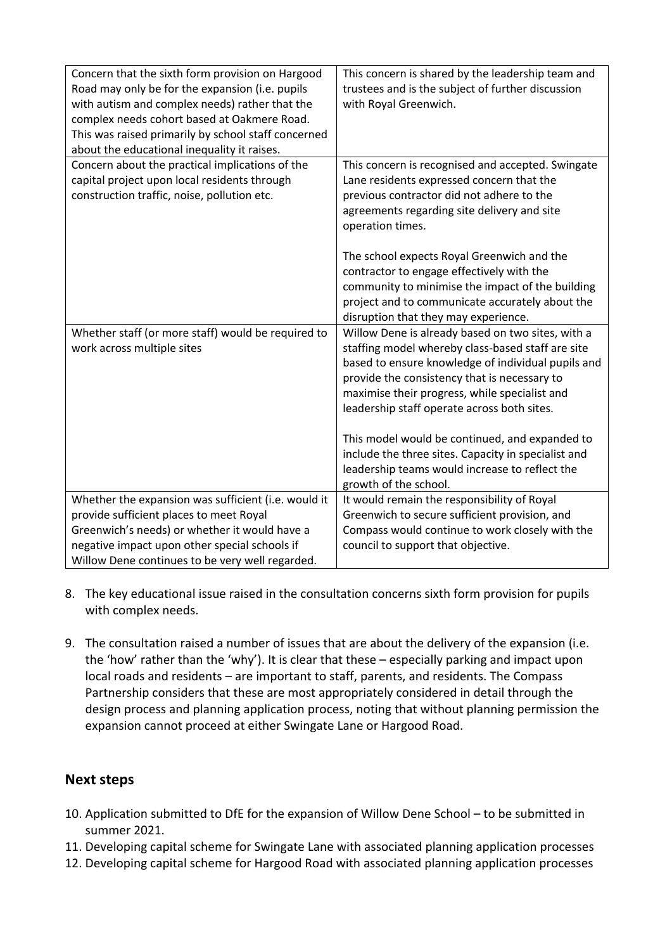| Concern that the sixth form provision on Hargood<br>Road may only be for the expansion (i.e. pupils<br>with autism and complex needs) rather that the<br>complex needs cohort based at Oakmere Road.<br>This was raised primarily by school staff concerned<br>about the educational inequality it raises. | This concern is shared by the leadership team and<br>trustees and is the subject of further discussion<br>with Royal Greenwich.                                                                                                                                                                                                                                                                                                                                                                  |
|------------------------------------------------------------------------------------------------------------------------------------------------------------------------------------------------------------------------------------------------------------------------------------------------------------|--------------------------------------------------------------------------------------------------------------------------------------------------------------------------------------------------------------------------------------------------------------------------------------------------------------------------------------------------------------------------------------------------------------------------------------------------------------------------------------------------|
| Concern about the practical implications of the<br>capital project upon local residents through<br>construction traffic, noise, pollution etc.                                                                                                                                                             | This concern is recognised and accepted. Swingate<br>Lane residents expressed concern that the<br>previous contractor did not adhere to the<br>agreements regarding site delivery and site<br>operation times.                                                                                                                                                                                                                                                                                   |
|                                                                                                                                                                                                                                                                                                            | The school expects Royal Greenwich and the<br>contractor to engage effectively with the<br>community to minimise the impact of the building<br>project and to communicate accurately about the<br>disruption that they may experience.                                                                                                                                                                                                                                                           |
| Whether staff (or more staff) would be required to<br>work across multiple sites                                                                                                                                                                                                                           | Willow Dene is already based on two sites, with a<br>staffing model whereby class-based staff are site<br>based to ensure knowledge of individual pupils and<br>provide the consistency that is necessary to<br>maximise their progress, while specialist and<br>leadership staff operate across both sites.<br>This model would be continued, and expanded to<br>include the three sites. Capacity in specialist and<br>leadership teams would increase to reflect the<br>growth of the school. |
| Whether the expansion was sufficient (i.e. would it<br>provide sufficient places to meet Royal<br>Greenwich's needs) or whether it would have a<br>negative impact upon other special schools if<br>Willow Dene continues to be very well regarded.                                                        | It would remain the responsibility of Royal<br>Greenwich to secure sufficient provision, and<br>Compass would continue to work closely with the<br>council to support that objective.                                                                                                                                                                                                                                                                                                            |

- 8. The key educational issue raised in the consultation concerns sixth form provision for pupils with complex needs.
- 9. The consultation raised a number of issues that are about the delivery of the expansion (i.e. the 'how' rather than the 'why'). It is clear that these – especially parking and impact upon local roads and residents – are important to staff, parents, and residents. The Compass Partnership considers that these are most appropriately considered in detail through the design process and planning application process, noting that without planning permission the expansion cannot proceed at either Swingate Lane or Hargood Road.

#### **Next steps**

- 10. Application submitted to DfE for the expansion of Willow Dene School to be submitted in summer 2021.
- 11. Developing capital scheme for Swingate Lane with associated planning application processes
- 12. Developing capital scheme for Hargood Road with associated planning application processes